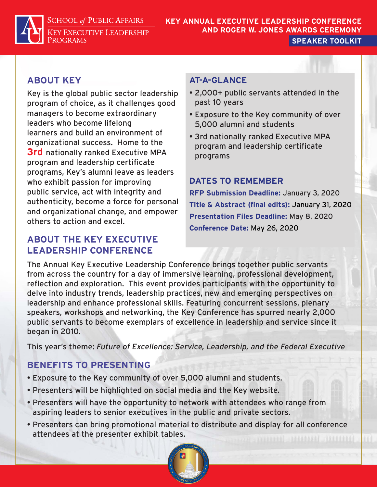**SCHOOL of PUBLIC AFFAIRS** 

**KEY EXECUTIVE LEADERSHIP** PROGRAMS

### **KEY ANNUAL EXECUTIVE LEADERSHIP CONFERENCE AND ROGER W. JONES AWARDS CEREMONY SPEAKER TOOLKIT**

# **ABOUT KEY**

Key is the global public sector leadership program of choice, as it challenges good managers to become extraordinary leaders who become lifelong learners and build an environment of organizational success. Home to the **3rd** nationally ranked Executive MPA program and leadership certificate programs, Key's alumni leave as leaders who exhibit passion for improving public service, act with integrity and authenticity, become a force for personal and organizational change, and empower others to action and excel.

# **ABOUT THE KEY EXECUTIVE LEADERSHIP CONFERENCE**

# **AT-A-GLANCE**

- 2,000+ public servants attended in the past 10 years
- Exposure to the Key community of over 5,000 alumni and students
- 3rd nationally ranked Executive MPA program and leadership certificate programs

# **DATES TO REMEMBER**

**RFP Submission Deadline:** January 3, 2020 **Title & Abstract (final edits):** January 31, 2020 **Presentation Files Deadline:** May 8, 2020 **Conference Date:** May 26, 2020

The Annual Key Executive Leadership Conference brings together public servants from across the country for a day of immersive learning, professional development, reflection and exploration. This event provides participants with the opportunity to delve into industry trends, leadership practices, new and emerging perspectives on leadership and enhance professional skills. Featuring concurrent sessions, plenary speakers, workshops and networking, the Key Conference has spurred nearly 2,000 public servants to become exemplars of excellence in leadership and service since it began in 2010.

This year's theme: *Future of Excellence: Service, Leadership, and the Federal Executive*

# **BENEFITS TO PRESENTING**

- Exposure to the Key community of over 5,000 alumni and students.
- Presenters will be highlighted on social media and the Key website.
- Presenters will have the opportunity to network with attendees who range from aspiring leaders to senior executives in the public and private sectors.
- Presenters can bring promotional material to distribute and display for all conference attendees at the presenter exhibit tables.

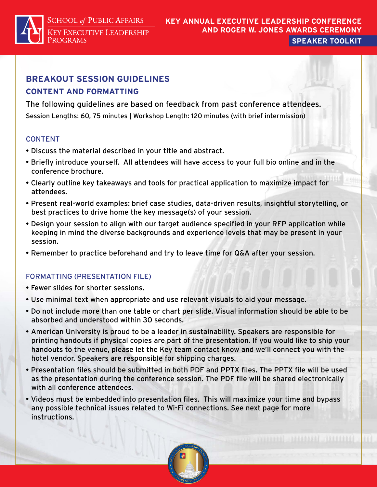**SCHOOL of PUBLIC AFFAIRS KEY EXECUTIVE LEADERSHIP** 

**PROGRAMS** 

### **KEY ANNUAL EXECUTIVE LEADERSHIP CONFERENCE AND ROGER W. JONES AWARDS CEREMONY SPEAKER TOOLKIT**

## **BREAKOUT SESSION GUIDELINES CONTENT AND FORMATTING**

The following guidelines are based on feedback from past conference attendees. Session Lengths: 60, 75 minutes | Workshop Length: 120 minutes (with brief intermission)

## CONTENT

- Discuss the material described in your title and abstract.
- Briefly introduce yourself. All attendees will have access to your full bio online and in the conference brochure.
- Clearly outline key takeaways and tools for practical application to maximize impact for attendees.
- Present real-world examples: brief case studies, data-driven results, insightful storytelling, or best practices to drive home the key message(s) of your session.
- Design your session to align with our target audience specified in your RFP application while keeping in mind the diverse backgrounds and experience levels that may be present in your session.
- Remember to practice beforehand and try to leave time for Q&A after your session.

## FORMATTING (PRESENTATION FILE)

- Fewer slides for shorter sessions.
- Use minimal text when appropriate and use relevant visuals to aid your message.
- Do not include more than one table or chart per slide. Visual information should be able to be absorbed and understood within 30 seconds.
- American University is proud to be a leader in sustainability. Speakers are responsible for printing handouts if physical copies are part of the presentation. If you would like to ship your handouts to the venue, please let the Key team contact know and we'll connect you with the hotel vendor. Speakers are responsible for shipping charges.
- Presentation files should be submitted in both PDF and PPTX files. The PPTX file will be used as the presentation during the conference session. The PDF file will be shared electronically with all conference attendees.
- Videos must be embedded into presentation files. This will maximize your time and bypass any possible technical issues related to Wi-Fi connections. See next page for more instructions.

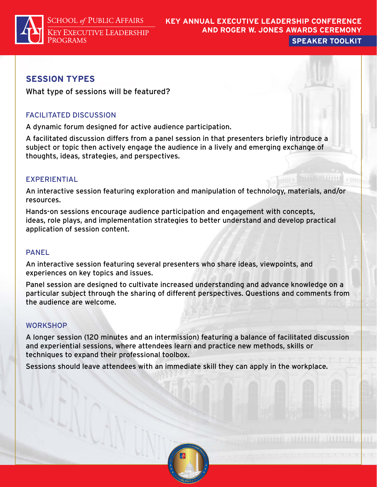

## **SESSION TYPES**

What type of sessions will be featured?

## FACILITATED DISCUSSION

A dynamic forum designed for active audience participation.

A facilitated discussion differs from a panel session in that presenters briefly introduce a subject or topic then actively engage the audience in a lively and emerging exchange of thoughts, ideas, strategies, and perspectives.

## EXPERIENTIAL

An interactive session featuring exploration and manipulation of technology, materials, and/or resources.

Hands-on sessions encourage audience participation and engagement with concepts, ideas, role plays, and implementation strategies to better understand and develop practical application of session content.

#### PANEL

An interactive session featuring several presenters who share ideas, viewpoints, and experiences on key topics and issues.

Panel session are designed to cultivate increased understanding and advance knowledge on a particular subject through the sharing of different perspectives. Questions and comments from the audience are welcome.

#### **WORKSHOP**

A longer session (120 minutes and an intermission) featuring a balance of facilitated discussion and experiential sessions, where attendees learn and practice new methods, skills or techniques to expand their professional toolbox.

Sessions should leave attendees with an immediate skill they can apply in the workplace.

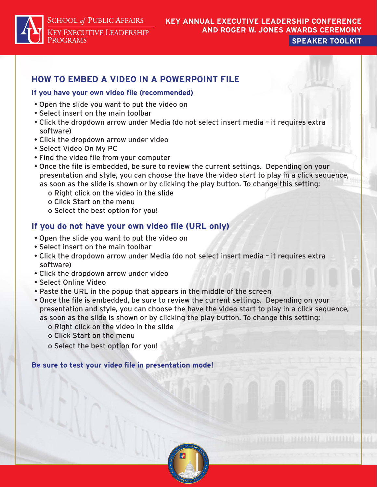**SCHOOL of PUBLIC AFFAIRS** 

**KEY EXECUTIVE LEADERSHIP PROGRAMS** 

# **KEY ANNUAL EXECUTIVE LEADERSHIP CONFERENCE AND ROGER W. JONES AWARDS CEREMONY**

**SPEAKER TOOLKIT**

# **HOW TO EMBED A VIDEO IN A POWERPOINT FILE**

#### **If you have your own video file (recommended)**

- Open the slide you want to put the video on
- Select insert on the main toolbar
- Click the dropdown arrow under Media (do not select insert media it requires extra software)
- Click the dropdown arrow under video
- Select Video On My PC
- Find the video file from your computer
- Once the file is embedded, be sure to review the current settings. Depending on your presentation and style, you can choose the have the video start to play in a click sequence, as soon as the slide is shown or by clicking the play button. To change this setting:
	- o Right click on the video in the slide
	- o Click Start on the menu
	- o Select the best option for you!

## **If you do not have your own video file (URL only)**

- Open the slide you want to put the video on
- Select insert on the main toolbar
- Click the dropdown arrow under Media (do not select insert media it requires extra software)
- Click the dropdown arrow under video
- Select Online Video
- Paste the URL in the popup that appears in the middle of the screen
- Once the file is embedded, be sure to review the current settings. Depending on your presentation and style, you can choose the have the video start to play in a click sequence, as soon as the slide is shown or by clicking the play button. To change this setting:
	- o Right click on the video in the slide
	- o Click Start on the menu
	- o Select the best option for you!

**Be sure to test your video file in presentation mode!**

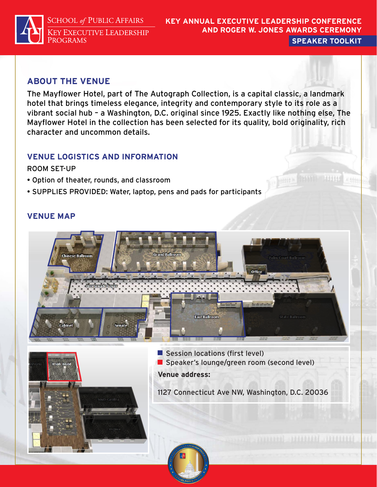**SCHOOL of PUBLIC AFFAIRS KEY EXECUTIVE LEADERSHIP** PROGRAMS

### **KEY ANNUAL EXECUTIVE LEADERSHIP CONFERENCE AND ROGER W. JONES AWARDS CEREMONY SPEAKER TOOLKIT**

mitte

## **ABOUT THE VENUE**

The Mayflower Hotel, part of The Autograph Collection, is a capital classic, a landmark hotel that brings timeless elegance, integrity and contemporary style to its role as a vibrant social hub – a Washington, D.C. original since 1925. Exactly like nothing else, The Mayflower Hotel in the collection has been selected for its quality, bold originality, rich character and uncommon details.

## **VENUE LOGISTICS AND INFORMATION**

### ROOM SET-UP

- Option of theater, rounds, and classroom
- $\bullet$  SUPPLIES PROVIDED: Water, laptop, pens and pads for participants  $\sim$

## **VENUE MAP**





Session locations (first level) Speaker's lounge/green room (second level) **Venue address:** 

1127 Connecticut Ave NW, Washington, D.C. 20036